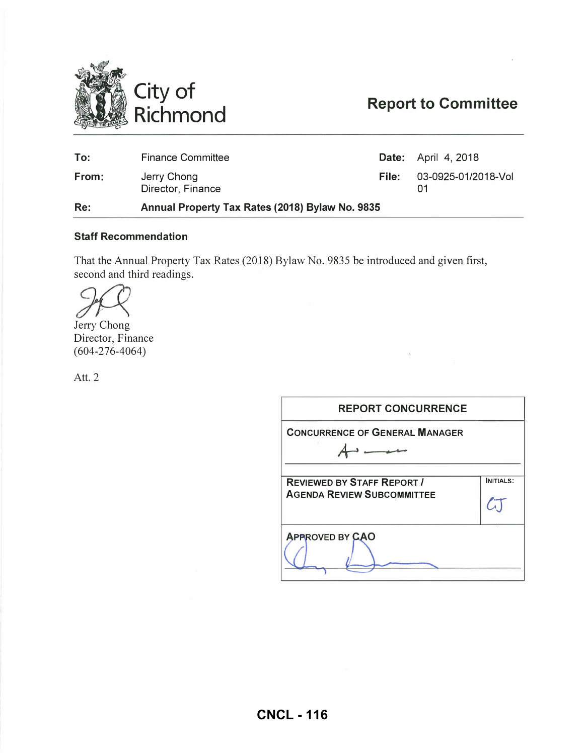

# Report to Committee

| Re:   | Annual Property Tax Rates (2018) Bylaw No. 9835 |       |                            |  |  |  |
|-------|-------------------------------------------------|-------|----------------------------|--|--|--|
| From: | Jerry Chong<br>Director, Finance                | File: | 03-0925-01/2018-Vol        |  |  |  |
| To:   | <b>Finance Committee</b>                        |       | <b>Date:</b> April 4, 2018 |  |  |  |

#### Staff Recommendation

That the Annual Property Tax Rates (2018) Bylaw No. 9835 be introduced and given first, second and third readings.

Jerry Chong

Director, Finance  $(604 - 276 - 4064)$ 

Att. 2

| <b>REPORT CONCURRENCE</b>                                              |           |
|------------------------------------------------------------------------|-----------|
| <b>CONCURRENCE OF GENERAL MANAGER</b>                                  |           |
|                                                                        |           |
| <b>REVIEWED BY STAFF REPORT /</b><br><b>AGENDA REVIEW SUBCOMMITTEE</b> | INITIALS: |
| <b>APPROVED BY CAO</b>                                                 |           |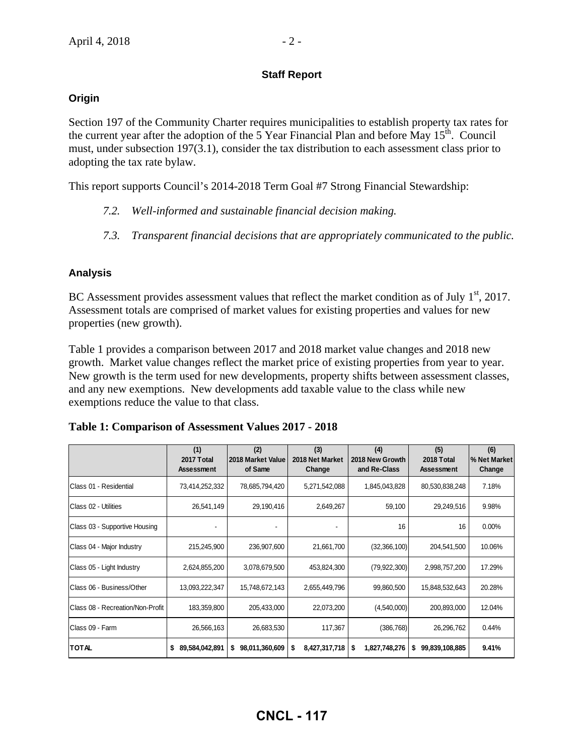#### **Staff Report**

#### **Origin**

Section 197 of the Community Charter requires municipalities to establish property tax rates for the current year after the adoption of the 5 Year Financial Plan and before May  $15<sup>th</sup>$ . Council must, under subsection 197(3.1), consider the tax distribution to each assessment class prior to adopting the tax rate bylaw.

This report supports Council's 2014-2018 Term Goal #7 Strong Financial Stewardship:

- *7.2. Well-informed and sustainable financial decision making.*
- *7.3. Transparent financial decisions that are appropriately communicated to the public.*

#### **Analysis**

BC Assessment provides assessment values that reflect the market condition as of July  $1<sup>st</sup>$ , 2017. Assessment totals are comprised of market values for existing properties and values for new properties (new growth).

Table 1 provides a comparison between 2017 and 2018 market value changes and 2018 new growth. Market value changes reflect the market price of existing properties from year to year. New growth is the term used for new developments, property shifts between assessment classes, and any new exemptions. New developments add taxable value to the class while new exemptions reduce the value to that class.

|                                           | (1)<br>2017 Total<br><b>Assessment</b> | (2)<br>2018 Market Value<br>of Same | (3)<br>2018 Net Market<br>Change | (4)<br>2018 New Growth<br>and Re-Class | (5)<br>2018 Total<br><b>Assessment</b> | (6)<br>% Net Market<br>Change |
|-------------------------------------------|----------------------------------------|-------------------------------------|----------------------------------|----------------------------------------|----------------------------------------|-------------------------------|
| <b>IClass 01 - Residential</b>            | 73,414,252,332                         | 78,685,794,420                      | 5,271,542,088                    | 1,845,043,828                          | 80,530,838,248                         | 7.18%                         |
| <b>IClass 02 - Utilities</b>              | 26,541,149                             | 29,190,416                          | 2,649,267                        | 59,100                                 | 29,249,516                             | 9.98%                         |
| Class 03 - Supportive Housing             |                                        |                                     |                                  | 16                                     | 16                                     | 0.00%                         |
| Class 04 - Major Industry                 | 215,245,900                            | 236,907,600                         | 21,661,700                       | (32,366,100)                           | 204,541,500                            | 10.06%                        |
| Class 05 - Light Industry                 | 2,624,855,200                          | 3,078,679,500                       | 453,824,300                      | (79, 922, 300)                         | 2,998,757,200                          | 17.29%                        |
| <b>IClass 06 - Business/Other</b>         | 13,093,222,347                         | 15,748,672,143                      | 2,655,449,796                    | 99,860,500                             | 15,848,532,643                         | 20.28%                        |
| <b>I</b> Class 08 - Recreation/Non-Profit | 183,359,800                            | 205,433,000                         | 22,073,200                       | (4,540,000)                            | 200,893,000                            | 12.04%                        |
| <b>IClass 09 - Farm</b>                   | 26,566,163                             | 26,683,530                          | 117,367                          | (386, 768)                             | 26,296,762                             | 0.44%                         |
| TOTAL                                     | 89,584,042,891<br>S                    | 98,011,360,609<br>s                 | 8,427,317,718<br>\$              | 1,827,748,276<br>S                     | 99,839,108,885<br>s                    | 9.41%                         |

| Table 1: Comparison of Assessment Values 2017 - 2018 |  |  |  |
|------------------------------------------------------|--|--|--|
|------------------------------------------------------|--|--|--|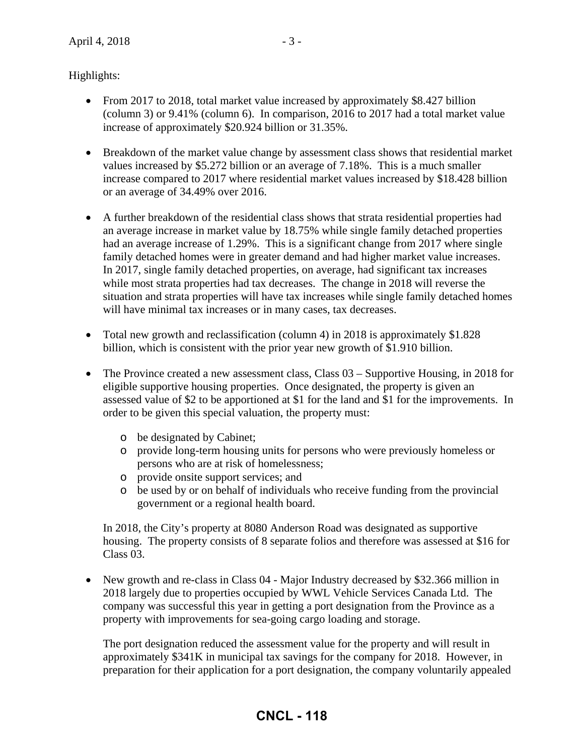Highlights:

- From 2017 to 2018, total market value increased by approximately \$8.427 billion (column 3) or 9.41% (column 6). In comparison, 2016 to 2017 had a total market value increase of approximately \$20.924 billion or 31.35%.
- Breakdown of the market value change by assessment class shows that residential market values increased by \$5.272 billion or an average of 7.18%. This is a much smaller increase compared to 2017 where residential market values increased by \$18.428 billion or an average of 34.49% over 2016.
- A further breakdown of the residential class shows that strata residential properties had an average increase in market value by 18.75% while single family detached properties had an average increase of 1.29%. This is a significant change from 2017 where single family detached homes were in greater demand and had higher market value increases. In 2017, single family detached properties, on average, had significant tax increases while most strata properties had tax decreases. The change in 2018 will reverse the situation and strata properties will have tax increases while single family detached homes will have minimal tax increases or in many cases, tax decreases.
- Total new growth and reclassification (column 4) in 2018 is approximately \$1.828 billion, which is consistent with the prior year new growth of \$1.910 billion.
- The Province created a new assessment class, Class 03 Supportive Housing, in 2018 for eligible supportive housing properties. Once designated, the property is given an assessed value of \$2 to be apportioned at \$1 for the land and \$1 for the improvements. In order to be given this special valuation, the property must:
	- o be designated by Cabinet;
	- o provide long-term housing units for persons who were previously homeless or persons who are at risk of homelessness;
	- o provide onsite support services; and
	- o be used by or on behalf of individuals who receive funding from the provincial government or a regional health board.

In 2018, the City's property at 8080 Anderson Road was designated as supportive housing. The property consists of 8 separate folios and therefore was assessed at \$16 for Class 03.

• New growth and re-class in Class 04 - Major Industry decreased by \$32.366 million in 2018 largely due to properties occupied by WWL Vehicle Services Canada Ltd. The company was successful this year in getting a port designation from the Province as a property with improvements for sea-going cargo loading and storage.

The port designation reduced the assessment value for the property and will result in approximately \$341K in municipal tax savings for the company for 2018. However, in preparation for their application for a port designation, the company voluntarily appealed

## **CNCL - 118**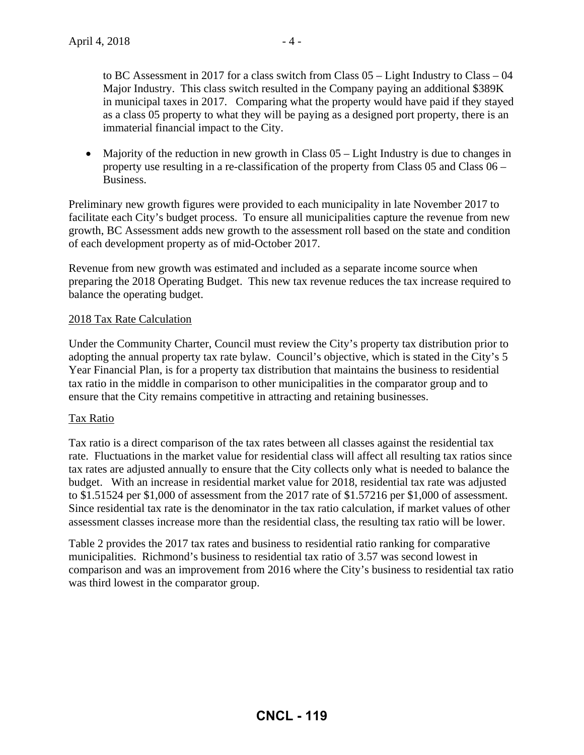to BC Assessment in 2017 for a class switch from Class 05 – Light Industry to Class – 04 Major Industry. This class switch resulted in the Company paying an additional \$389K in municipal taxes in 2017. Comparing what the property would have paid if they stayed as a class 05 property to what they will be paying as a designed port property, there is an immaterial financial impact to the City.

• Majority of the reduction in new growth in Class 05 – Light Industry is due to changes in property use resulting in a re-classification of the property from Class 05 and Class 06 – Business.

Preliminary new growth figures were provided to each municipality in late November 2017 to facilitate each City's budget process. To ensure all municipalities capture the revenue from new growth, BC Assessment adds new growth to the assessment roll based on the state and condition of each development property as of mid-October 2017.

Revenue from new growth was estimated and included as a separate income source when preparing the 2018 Operating Budget. This new tax revenue reduces the tax increase required to balance the operating budget.

#### 2018 Tax Rate Calculation

Under the Community Charter, Council must review the City's property tax distribution prior to adopting the annual property tax rate bylaw. Council's objective, which is stated in the City's 5 Year Financial Plan, is for a property tax distribution that maintains the business to residential tax ratio in the middle in comparison to other municipalities in the comparator group and to ensure that the City remains competitive in attracting and retaining businesses.

#### Tax Ratio

Tax ratio is a direct comparison of the tax rates between all classes against the residential tax rate. Fluctuations in the market value for residential class will affect all resulting tax ratios since tax rates are adjusted annually to ensure that the City collects only what is needed to balance the budget. With an increase in residential market value for 2018, residential tax rate was adjusted to \$1.51524 per \$1,000 of assessment from the 2017 rate of \$1.57216 per \$1,000 of assessment. Since residential tax rate is the denominator in the tax ratio calculation, if market values of other assessment classes increase more than the residential class, the resulting tax ratio will be lower.

Table 2 provides the 2017 tax rates and business to residential ratio ranking for comparative municipalities. Richmond's business to residential tax ratio of 3.57 was second lowest in comparison and was an improvement from 2016 where the City's business to residential tax ratio was third lowest in the comparator group.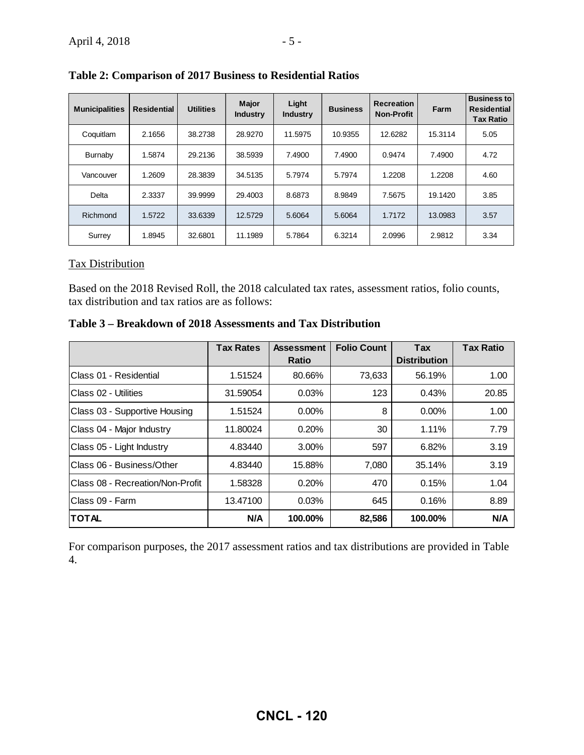| <b>Municipalities</b> | <b>Residential</b> | <b>Utilities</b> | <b>Major</b><br><b>Industry</b> | Light<br><b>Industry</b> | <b>Business</b> | <b>Recreation</b><br><b>Non-Profit</b> | Farm    | <b>Business to</b><br><b>Residential</b><br><b>Tax Ratio</b> |
|-----------------------|--------------------|------------------|---------------------------------|--------------------------|-----------------|----------------------------------------|---------|--------------------------------------------------------------|
| Coquitlam             | 2.1656             | 38.2738          | 28.9270                         | 11.5975                  | 10.9355         | 12.6282                                | 15.3114 | 5.05                                                         |
| Burnaby               | 1.5874             | 29.2136          | 38.5939                         | 7.4900                   | 7.4900          | 0.9474                                 | 7.4900  | 4.72                                                         |
| Vancouver             | 1.2609             | 28.3839          | 34.5135                         | 5.7974                   | 5.7974          | 1.2208                                 | 1.2208  | 4.60                                                         |
| Delta                 | 2.3337             | 39.9999          | 29.4003                         | 8.6873                   | 8.9849          | 7.5675                                 | 19.1420 | 3.85                                                         |
| Richmond              | 1.5722             | 33.6339          | 12.5729                         | 5.6064                   | 5.6064          | 1.7172                                 | 13.0983 | 3.57                                                         |
| Surrey                | 1.8945             | 32.6801          | 11.1989                         | 5.7864                   | 6.3214          | 2.0996                                 | 2.9812  | 3.34                                                         |

**Table 2: Comparison of 2017 Business to Residential Ratios** 

#### Tax Distribution

Based on the 2018 Revised Roll, the 2018 calculated tax rates, assessment ratios, folio counts, tax distribution and tax ratios are as follows:

**Table 3 – Breakdown of 2018 Assessments and Tax Distribution** 

|                                  | <b>Tax Rates</b> | <b>Assessment</b> | <b>Folio Count</b> | <b>Tax</b>          | <b>Tax Ratio</b> |
|----------------------------------|------------------|-------------------|--------------------|---------------------|------------------|
|                                  |                  | <b>Ratio</b>      |                    | <b>Distribution</b> |                  |
| Class 01 - Residential           | 1.51524          | 80.66%            | 73,633             | 56.19%              | 1.00             |
| Class 02 - Utilities             | 31.59054         | 0.03%             | 123                | 0.43%               | 20.85            |
| Class 03 - Supportive Housing    | 1.51524          | $0.00\%$          | 8                  | $0.00\%$            | 1.00             |
| Class 04 - Major Industry        | 11.80024         | 0.20%             | 30                 | 1.11%               | 7.79             |
| Class 05 - Light Industry        | 4.83440          | 3.00%             | 597                | 6.82%               | 3.19             |
| Class 06 - Business/Other        | 4.83440          | 15.88%            | 7,080              | 35.14%              | 3.19             |
| Class 08 - Recreation/Non-Profit | 1.58328          | 0.20%             | 470                | 0.15%               | 1.04             |
| Class 09 - Farm                  | 13.47100         | 0.03%             | 645                | 0.16%               | 8.89             |
| <b>TOTAL</b>                     | N/A              | 100.00%           | 82,586             | 100.00%             | N/A              |

For comparison purposes, the 2017 assessment ratios and tax distributions are provided in Table 4.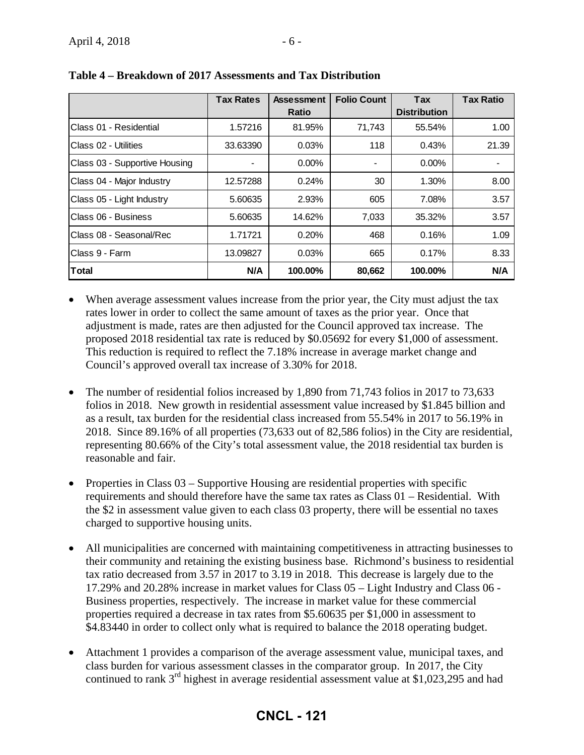|                               | <b>Tax Rates</b> | <b>Assessment</b> | <b>Folio Count</b> | Tax                 | <b>Tax Ratio</b> |
|-------------------------------|------------------|-------------------|--------------------|---------------------|------------------|
|                               |                  | <b>Ratio</b>      |                    | <b>Distribution</b> |                  |
| Class 01 - Residential        | 1.57216          | 81.95%            | 71,743             | 55.54%              | 1.00             |
| IClass 02 - Utilities         | 33.63390         | 0.03%             | 118                | 0.43%               | 21.39            |
| Class 03 - Supportive Housing |                  | $0.00\%$          |                    | $0.00\%$            |                  |
| Class 04 - Major Industry     | 12.57288         | 0.24%             | 30                 | 1.30%               | 8.00             |
| Class 05 - Light Industry     | 5.60635          | 2.93%             | 605                | 7.08%               | 3.57             |
| lClass 06 - Business          | 5.60635          | 14.62%            | 7,033              | 35.32%              | 3.57             |
| Class 08 - Seasonal/Rec       | 1.71721          | 0.20%             | 468                | 0.16%               | 1.09             |
| IClass 9 - Farm               | 13.09827         | 0.03%             | 665                | 0.17%               | 8.33             |
| lTotal                        | N/A              | 100.00%           | 80,662             | 100.00%             | N/A              |

**Table 4 – Breakdown of 2017 Assessments and Tax Distribution** 

- When average assessment values increase from the prior year, the City must adjust the tax rates lower in order to collect the same amount of taxes as the prior year. Once that adjustment is made, rates are then adjusted for the Council approved tax increase. The proposed 2018 residential tax rate is reduced by \$0.05692 for every \$1,000 of assessment. This reduction is required to reflect the 7.18% increase in average market change and Council's approved overall tax increase of 3.30% for 2018.
- The number of residential folios increased by 1,890 from 71,743 folios in 2017 to 73,633 folios in 2018. New growth in residential assessment value increased by \$1.845 billion and as a result, tax burden for the residential class increased from 55.54% in 2017 to 56.19% in 2018. Since 89.16% of all properties (73,633 out of 82,586 folios) in the City are residential, representing 80.66% of the City's total assessment value, the 2018 residential tax burden is reasonable and fair.
- Properties in Class  $03$  Supportive Housing are residential properties with specific requirements and should therefore have the same tax rates as Class 01 – Residential. With the \$2 in assessment value given to each class 03 property, there will be essential no taxes charged to supportive housing units.
- All municipalities are concerned with maintaining competitiveness in attracting businesses to their community and retaining the existing business base. Richmond's business to residential tax ratio decreased from 3.57 in 2017 to 3.19 in 2018. This decrease is largely due to the 17.29% and 20.28% increase in market values for Class 05 – Light Industry and Class 06 - Business properties, respectively. The increase in market value for these commercial properties required a decrease in tax rates from \$5.60635 per \$1,000 in assessment to \$4.83440 in order to collect only what is required to balance the 2018 operating budget.
- Attachment 1 provides a comparison of the average assessment value, municipal taxes, and class burden for various assessment classes in the comparator group. In 2017, the City continued to rank 3rd highest in average residential assessment value at \$1,023,295 and had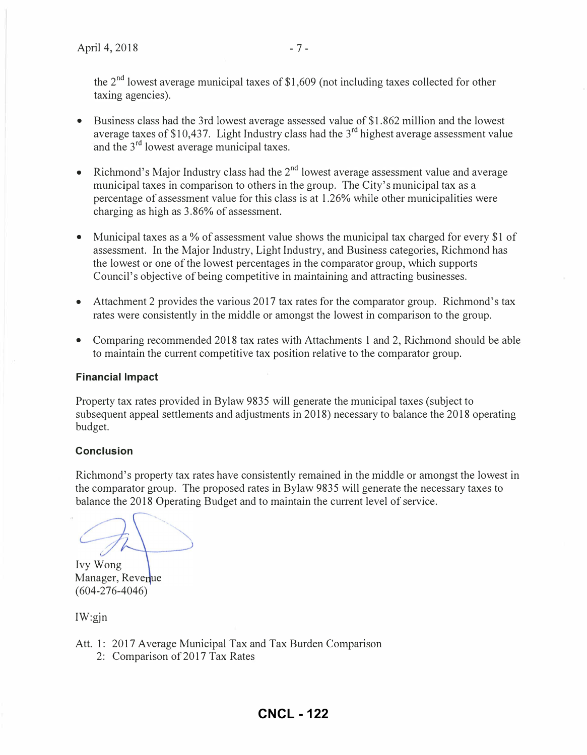the  $2<sup>nd</sup>$  lowest average municipal taxes of \$1,609 (not including taxes collected for other taxing agencies).

- Business class had the 3rd lowest average assessed value of \$1.862 million and the lowest average taxes of \$10,437. Light Industry class had the  $3<sup>rd</sup>$  highest average assessment value and the  $3<sup>rd</sup>$  lowest average municipal taxes.
- Richmond's Major Industry class had the  $2<sup>nd</sup>$  lowest average assessment value and average municipal taxes in comparison to others in the group. The City's municipal tax as a percentage of assessment value for this class is at 1.26% while other municipalities were charging as high as 3.86% of assessment.
- Municipal taxes as a % of assessment value shows the municipal tax charged for every \$1 of assessment. In the Major Industry, Light Industry, and Business categories, Richmond has the lowest or one of the lowest percentages in the comparator group, which supports Council's objective of being competitive in maintaining and attracting businesses.
- Attachment 2 provides the various 2017 tax rates for the comparator group. Richmond's tax rates were consistently in the middle or amongst the lowest in comparison to the group.
- Comparing recommended 2018 tax rates with Attachments 1 and 2, Richmond should be able to maintain the current competitive tax position relative to the comparator group.

#### Financial Impact

Propetiy tax rates provided in Bylaw 9835 will generate the municipal taxes (subject to subsequent appeal settlements and adjustments in 2018) necessary to balance the 2018 operating budget.

#### **Conclusion**

Richmond's property tax rates have consistently remained in the middle or amongst the lowest in the comparator group. The proposed rates in Bylaw 9835 will generate the necessary taxes to balance the 2018 Operating Budget and to maintain the current level of service.

Ivy Wong Manager, Revenue (604-276-4046)

IW:gjn

- Att. 1: 2017 Average Municipal Tax and Tax Burden Comparison
	- 2: Comparison of 2017 Tax Rates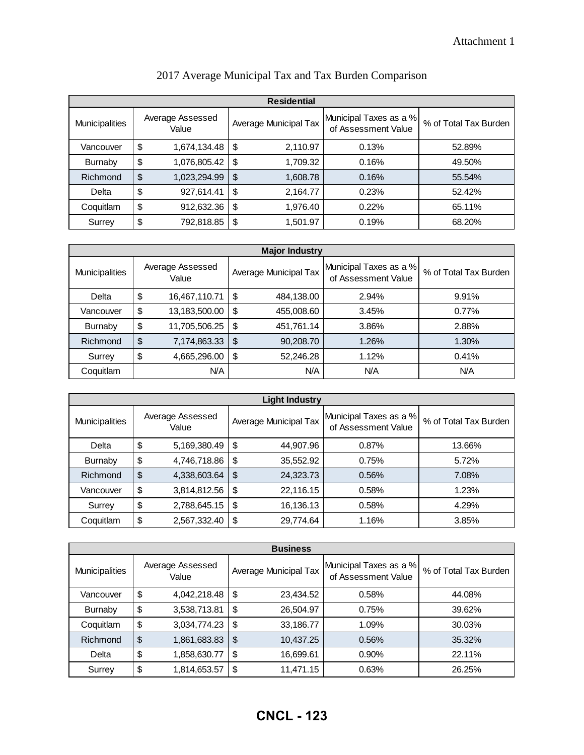| <b>Residential</b>    |               |                           |               |                       |                                               |                       |  |  |  |
|-----------------------|---------------|---------------------------|---------------|-----------------------|-----------------------------------------------|-----------------------|--|--|--|
| <b>Municipalities</b> |               | Average Assessed<br>Value |               | Average Municipal Tax | Municipal Taxes as a %<br>of Assessment Value | % of Total Tax Burden |  |  |  |
| Vancouver             | \$            | 1,674,134.48              | \$            | 2,110.97              | 0.13%                                         | 52.89%                |  |  |  |
| <b>Burnaby</b>        | \$            | 1,076,805.42              | \$            | 1,709.32              | 0.16%                                         | 49.50%                |  |  |  |
| Richmond              | $\frac{1}{2}$ | 1,023,294.99              | $\frac{1}{2}$ | 1,608.78              | 0.16%                                         | 55.54%                |  |  |  |
| Delta                 | \$            | 927,614.41                | \$            | 2,164.77              | 0.23%                                         | 52.42%                |  |  |  |
| Coquitlam             | \$            | 912,632.36                | \$            | 1,976.40              | 0.22%                                         | 65.11%                |  |  |  |
| Surrey                | \$            | 792,818.85                | \$            | 1,501.97              | 0.19%                                         | 68.20%                |  |  |  |

| 2017 Average Municipal Tax and Tax Burden Comparison |  |  |
|------------------------------------------------------|--|--|
|------------------------------------------------------|--|--|

| <b>Major Industry</b> |    |                           |    |                       |                                               |                       |  |  |  |
|-----------------------|----|---------------------------|----|-----------------------|-----------------------------------------------|-----------------------|--|--|--|
| Municipalities        |    | Average Assessed<br>Value |    | Average Municipal Tax | Municipal Taxes as a %<br>of Assessment Value | % of Total Tax Burden |  |  |  |
| Delta                 | \$ | 16,467,110.71             | S  | 484,138.00            | 2.94%                                         | 9.91%                 |  |  |  |
| Vancouver             | \$ | 13,183,500.00             | S  | 455,008.60            | 3.45%                                         | 0.77%                 |  |  |  |
| <b>Burnaby</b>        | \$ | 11,705,506.25             | S  | 451,761.14            | 3.86%                                         | 2.88%                 |  |  |  |
| Richmond              | \$ | 7,174,863.33              | \$ | 90,208.70             | 1.26%                                         | 1.30%                 |  |  |  |
| Surrey                | \$ | 4,665,296.00              | \$ | 52,246.28             | 1.12%                                         | 0.41%                 |  |  |  |
| Coquitlam             |    | N/A                       |    | N/A                   | N/A                                           | N/A                   |  |  |  |

| <b>Light Industry</b> |    |                           |    |                       |                                               |                       |  |  |  |
|-----------------------|----|---------------------------|----|-----------------------|-----------------------------------------------|-----------------------|--|--|--|
| Municipalities        |    | Average Assessed<br>Value |    | Average Municipal Tax | Municipal Taxes as a %<br>of Assessment Value | % of Total Tax Burden |  |  |  |
| Delta                 | \$ | 5,169,380.49              | \$ | 44,907.96             | 0.87%                                         | 13.66%                |  |  |  |
| <b>Burnaby</b>        | \$ | 4,746,718.86              | \$ | 35,552.92             | 0.75%                                         | 5.72%                 |  |  |  |
| Richmond              | \$ | 4,338,603.64              | \$ | 24,323.73             | 0.56%                                         | 7.08%                 |  |  |  |
| Vancouver             | \$ | 3,814,812.56              | \$ | 22,116.15             | 0.58%                                         | 1.23%                 |  |  |  |
| Surrey                | \$ | 2,788,645.15              | \$ | 16,136.13             | 0.58%                                         | 4.29%                 |  |  |  |
| Coquitlam             | \$ | 2,567,332.40              | \$ | 29,774.64             | 1.16%                                         | 3.85%                 |  |  |  |

| <b>Business</b>       |    |                           |    |                       |                                               |                       |  |  |  |
|-----------------------|----|---------------------------|----|-----------------------|-----------------------------------------------|-----------------------|--|--|--|
| <b>Municipalities</b> |    | Average Assessed<br>Value |    | Average Municipal Tax | Municipal Taxes as a %<br>of Assessment Value | % of Total Tax Burden |  |  |  |
| Vancouver             | \$ | 4,042,218.48              | \$ | 23,434.52             | 0.58%                                         | 44.08%                |  |  |  |
| <b>Burnaby</b>        | \$ | 3,538,713.81              | \$ | 26,504.97             | 0.75%                                         | 39.62%                |  |  |  |
| Coquitlam             | \$ | 3,034,774.23              | \$ | 33,186.77             | 1.09%                                         | 30.03%                |  |  |  |
| Richmond              | \$ | 1,861,683.83              | \$ | 10,437.25             | 0.56%                                         | 35.32%                |  |  |  |
| Delta                 | \$ | 1,858,630.77              | \$ | 16,699.61             | $0.90\%$                                      | 22.11%                |  |  |  |
| Surrey                | \$ | 1,814,653.57              | \$ | 11,471.15             | 0.63%                                         | 26.25%                |  |  |  |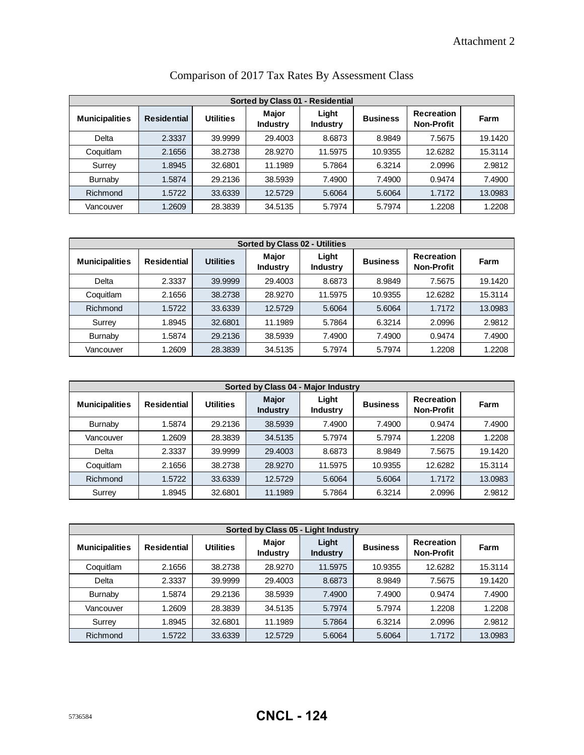|                       | Sorted by Class 01 - Residential |           |                          |                          |                 |                                        |         |  |  |  |
|-----------------------|----------------------------------|-----------|--------------------------|--------------------------|-----------------|----------------------------------------|---------|--|--|--|
| <b>Municipalities</b> | <b>Residential</b>               | Utilities | Major<br><b>Industry</b> | Light<br><b>Industry</b> | <b>Business</b> | <b>Recreation</b><br><b>Non-Profit</b> | Farm    |  |  |  |
| Delta                 | 2.3337                           | 39.9999   | 29.4003                  | 8.6873                   | 8.9849          | 7.5675                                 | 19.1420 |  |  |  |
| Coquitlam             | 2.1656                           | 38.2738   | 28.9270                  | 11.5975                  | 10.9355         | 12.6282                                | 15.3114 |  |  |  |
| Surrey                | 1.8945                           | 32.6801   | 11.1989                  | 5.7864                   | 6.3214          | 2.0996                                 | 2.9812  |  |  |  |
| <b>Burnaby</b>        | 1.5874                           | 29.2136   | 38.5939                  | 7.4900                   | 7.4900          | 0.9474                                 | 7.4900  |  |  |  |
| Richmond              | 1.5722                           | 33.6339   | 12.5729                  | 5.6064                   | 5.6064          | 1.7172                                 | 13.0983 |  |  |  |
| Vancouver             | 1.2609                           | 28.3839   | 34.5135                  | 5.7974                   | 5.7974          | 1.2208                                 | 1.2208  |  |  |  |

|  |  |  |  | Comparison of 2017 Tax Rates By Assessment Class |  |
|--|--|--|--|--------------------------------------------------|--|
|--|--|--|--|--------------------------------------------------|--|

|                       | <b>Sorted by Class 02 - Utilities</b> |                  |                                 |                          |                 |                                 |         |  |  |  |
|-----------------------|---------------------------------------|------------------|---------------------------------|--------------------------|-----------------|---------------------------------|---------|--|--|--|
| <b>Municipalities</b> | <b>Residential</b>                    | <b>Utilities</b> | <b>Major</b><br><b>Industry</b> | Light<br><b>Industry</b> | <b>Business</b> | Recreation<br><b>Non-Profit</b> | Farm    |  |  |  |
| Delta                 | 2.3337                                | 39.9999          | 29.4003                         | 8.6873                   | 8.9849          | 7.5675                          | 19.1420 |  |  |  |
| Coquitlam             | 2.1656                                | 38.2738          | 28.9270                         | 11.5975                  | 10.9355         | 12.6282                         | 15.3114 |  |  |  |
| Richmond              | 1.5722                                | 33.6339          | 12.5729                         | 5.6064                   | 5.6064          | 1.7172                          | 13.0983 |  |  |  |
| Surrey                | 1.8945                                | 32.6801          | 11.1989                         | 5.7864                   | 6.3214          | 2.0996                          | 2.9812  |  |  |  |
| <b>Burnaby</b>        | 1.5874                                | 29.2136          | 38.5939                         | 7.4900                   | 7.4900          | 0.9474                          | 7.4900  |  |  |  |
| Vancouver             | 1.2609                                | 28.3839          | 34.5135                         | 5.7974                   | 5.7974          | 1.2208                          | 1.2208  |  |  |  |

|                       | Sorted by Class 04 - Major Industry |                  |                                 |                          |                 |                                        |         |  |  |
|-----------------------|-------------------------------------|------------------|---------------------------------|--------------------------|-----------------|----------------------------------------|---------|--|--|
| <b>Municipalities</b> | <b>Residential</b>                  | <b>Utilities</b> | <b>Major</b><br><b>Industry</b> | Light<br><b>Industry</b> | <b>Business</b> | <b>Recreation</b><br><b>Non-Profit</b> | Farm    |  |  |
| <b>Burnaby</b>        | 1.5874                              | 29.2136          | 38.5939                         | 7.4900                   | 7.4900          | 0.9474                                 | 7.4900  |  |  |
| Vancouver             | 1.2609                              | 28.3839          | 34.5135                         | 5.7974                   | 5.7974          | 1.2208                                 | 1.2208  |  |  |
| Delta                 | 2.3337                              | 39.9999          | 29,4003                         | 8.6873                   | 8.9849          | 7.5675                                 | 19.1420 |  |  |
| Coquitlam             | 2.1656                              | 38.2738          | 28.9270                         | 11.5975                  | 10.9355         | 12.6282                                | 15.3114 |  |  |
| Richmond              | 1.5722                              | 33.6339          | 12.5729                         | 5.6064                   | 5.6064          | 1.7172                                 | 13.0983 |  |  |
| Surrey                | 1.8945                              | 32.6801          | 11.1989                         | 5.7864                   | 6.3214          | 2.0996                                 | 2.9812  |  |  |

|                       | Sorted by Class 05 - Light Industry |                  |                                 |                          |                 |                                 |         |  |  |
|-----------------------|-------------------------------------|------------------|---------------------------------|--------------------------|-----------------|---------------------------------|---------|--|--|
| <b>Municipalities</b> | <b>Residential</b>                  | <b>Utilities</b> | <b>Major</b><br><b>Industry</b> | Light<br><b>Industry</b> | <b>Business</b> | Recreation<br><b>Non-Profit</b> | Farm    |  |  |
| Coquitlam             | 2.1656                              | 38.2738          | 28.9270                         | 11.5975                  | 10.9355         | 12.6282                         | 15.3114 |  |  |
| Delta                 | 2.3337                              | 39.9999          | 29.4003                         | 8.6873                   | 8.9849          | 7.5675                          | 19.1420 |  |  |
| Burnaby               | 1.5874                              | 29.2136          | 38.5939                         | 7.4900                   | 7.4900          | 0.9474                          | 7.4900  |  |  |
| Vancouver             | 1.2609                              | 28.3839          | 34.5135                         | 5.7974                   | 5.7974          | 1.2208                          | 1.2208  |  |  |
| Surrey                | 1.8945                              | 32.6801          | 11.1989                         | 5.7864                   | 6.3214          | 2.0996                          | 2.9812  |  |  |
| Richmond              | 1.5722                              | 33.6339          | 12.5729                         | 5.6064                   | 5.6064          | 1.7172                          | 13.0983 |  |  |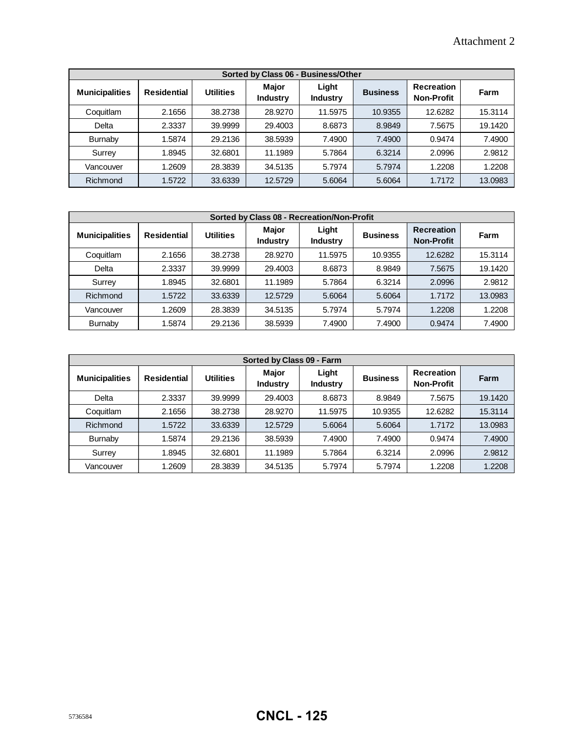|                       | Sorted by Class 06 - Business/Other |                  |                          |                          |                 |                                        |         |  |  |  |
|-----------------------|-------------------------------------|------------------|--------------------------|--------------------------|-----------------|----------------------------------------|---------|--|--|--|
| <b>Municipalities</b> | <b>Residential</b>                  | <b>Utilities</b> | Major<br><b>Industry</b> | Light<br><b>Industry</b> | <b>Business</b> | <b>Recreation</b><br><b>Non-Profit</b> | Farm    |  |  |  |
| Coquitlam             | 2.1656                              | 38.2738          | 28,9270                  | 11.5975                  | 10.9355         | 12.6282                                | 15.3114 |  |  |  |
| Delta                 | 2.3337                              | 39.9999          | 29.4003                  | 8.6873                   | 8.9849          | 7.5675                                 | 19.1420 |  |  |  |
| <b>Burnaby</b>        | 1.5874                              | 29.2136          | 38.5939                  | 7.4900                   | 7.4900          | 0.9474                                 | 7.4900  |  |  |  |
| Surrey                | 1.8945                              | 32.6801          | 11.1989                  | 5.7864                   | 6.3214          | 2.0996                                 | 2.9812  |  |  |  |
| Vancouver             | 1.2609                              | 28.3839          | 34.5135                  | 5.7974                   | 5.7974          | 1.2208                                 | 1.2208  |  |  |  |
| Richmond              | 1.5722                              | 33.6339          | 12.5729                  | 5.6064                   | 5.6064          | 1.7172                                 | 13.0983 |  |  |  |

|                       | Sorted by Class 08 - Recreation/Non-Profit |                  |                                 |                          |                 |                                        |         |  |  |  |
|-----------------------|--------------------------------------------|------------------|---------------------------------|--------------------------|-----------------|----------------------------------------|---------|--|--|--|
| <b>Municipalities</b> | <b>Residential</b>                         | <b>Utilities</b> | <b>Major</b><br><b>Industry</b> | Light<br><b>Industry</b> | <b>Business</b> | <b>Recreation</b><br><b>Non-Profit</b> | Farm    |  |  |  |
| Coquitlam             | 2.1656                                     | 38.2738          | 28,9270                         | 11.5975                  | 10.9355         | 12.6282                                | 15.3114 |  |  |  |
| Delta                 | 2.3337                                     | 39.9999          | 29,4003                         | 8.6873                   | 8.9849          | 7.5675                                 | 19.1420 |  |  |  |
| Surrey                | 1.8945                                     | 32.6801          | 11.1989                         | 5.7864                   | 6.3214          | 2.0996                                 | 2.9812  |  |  |  |
| Richmond              | 1.5722                                     | 33.6339          | 12.5729                         | 5.6064                   | 5.6064          | 1.7172                                 | 13.0983 |  |  |  |
| Vancouver             | 1.2609                                     | 28.3839          | 34.5135                         | 5.7974                   | 5.7974          | 1.2208                                 | 1.2208  |  |  |  |
| Burnaby               | 1.5874                                     | 29.2136          | 38.5939                         | 7.4900                   | 7.4900          | 0.9474                                 | 7.4900  |  |  |  |

|                       | Sorted by Class 09 - Farm |                  |                                 |                          |                 |                                 |         |  |  |
|-----------------------|---------------------------|------------------|---------------------------------|--------------------------|-----------------|---------------------------------|---------|--|--|
| <b>Municipalities</b> | <b>Residential</b>        | <b>Utilities</b> | <b>Major</b><br><b>Industry</b> | Light<br><b>Industry</b> | <b>Business</b> | Recreation<br><b>Non-Profit</b> | Farm    |  |  |
| Delta                 | 2.3337                    | 39.9999          | 29.4003                         | 8.6873                   | 8.9849          | 7.5675                          | 19.1420 |  |  |
| Coquitlam             | 2.1656                    | 38.2738          | 28.9270                         | 11.5975                  | 10.9355         | 12.6282                         | 15.3114 |  |  |
| Richmond              | 1.5722                    | 33.6339          | 12.5729                         | 5.6064                   | 5.6064          | 1.7172                          | 13.0983 |  |  |
| Burnaby               | 1.5874                    | 29.2136          | 38.5939                         | 7.4900                   | 7.4900          | 0.9474                          | 7.4900  |  |  |
| Surrey                | 1.8945                    | 32.6801          | 11.1989                         | 5.7864                   | 6.3214          | 2.0996                          | 2.9812  |  |  |
| Vancouver             | 1.2609                    | 28.3839          | 34.5135                         | 5.7974                   | 5.7974          | 1.2208                          | 1.2208  |  |  |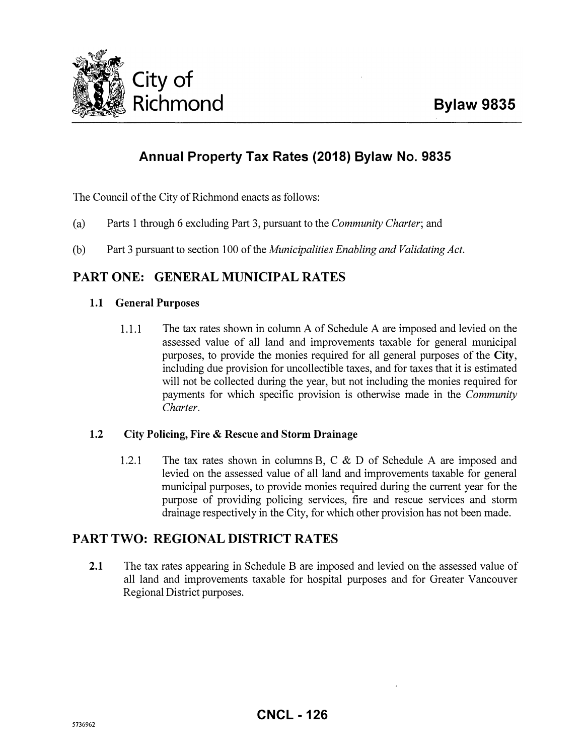

## Annual Property Tax Rates (2018) Bylaw No. 9835

The Council of the City of Richmond enacts as follows:

- (a) Parts 1 through 6 excluding Part 3, pursuant to the Community Charter; and
- (b) Part 3 pursuant to section 100 of the Municipalities Enabling and Validating Act.

## PART ONE: GENERAL MUNICIPAL RATES

#### 1.1 General Purposes

1.1.1 The tax rates shown in column A of Schedule A are imposed and levied on the assessed value of all land and improvements taxable for general municipal purposes, to provide the monies required for all general purposes of the City, including due provision for uncollectible taxes, and for taxes that it is estimated will not be collected during the year, but not including the monies required for payments for which specific provision is otherwise made in the *Community* Charter.

#### 1.2 City Policing, Fire & Rescue and Storm Drainage

1.2.1 The tax rates shown in columns B, C & D of Schedule A are imposed and levied on the assessed value of all land and improvements taxable for general municipal purposes, to provide monies required during the current year for the purpose of providing policing services, fire and rescue services and storm drainage respectively in the City, for which other provision has not been made.

#### PART TWO: REGIONAL DISTRICT RATES

2.1 The tax rates appearing in Schedule B are imposed and levied on the assessed value of all land and improvements taxable for hospital purposes and for Greater Vancouver Regional District purposes.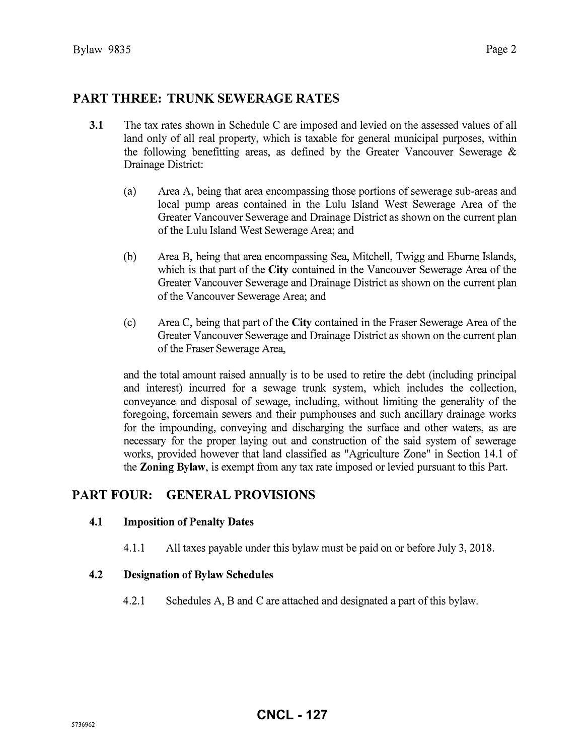### PART THREE: TRUNK SEWERAGE RATES

- 3.1 The tax rates shown in Schedule C are imposed and levied on the assessed values of all land only of all real property, which is taxable for general municipal purposes, within the following benefitting areas, as defined by the Greater Vancouver Sewerage  $\&$ Drainage District:
	- (a) Area A, being that area encompassing those portions of sewerage sub-areas and local pump areas contained in the Lulu Island West Sewerage Area of the Greater Vancouver Sewerage and Drainage District as shown on the current plan of the Lulu Island West Sewerage Area; and
	- (b) Area B, being that area encompassing Sea, Mitchell, Twigg and Eburne Islands, which is that part of the City contained in the Vancouver Sewerage Area of the Greater Vancouver Sewerage and Drainage District as shown on the current plan of the Vancouver Sewerage Area; and
	- (c) Area C, being that part of the City contained in the Fraser Sewerage Area of the Greater Vancouver Sewerage and Drainage District as shown on the current plan of the Fraser Sewerage Area,

and the total amount raised annually is to be used to retire the debt (including principal and interest) incurred for a sewage trunk system, which includes the collection, conveyance and disposal of sewage, including, without limiting the generality of the foregoing, forcemain sewers and their pumphouses and such ancillary drainage works for the impounding, conveying and discharging the surface and other waters, as are necessary for the proper laying out and construction of the said system of sewerage works, provided however that land classified as "Agriculture Zone" in Section 14.1 of the **Zoning Bylaw**, is exempt from any tax rate imposed or levied pursuant to this Part.

#### PART FOUR: GENERAL PROVISIONS

#### 4.1 Imposition of Penalty Dates

4.1.1 All taxes payable under this bylaw must be paid on or before July 3, 2018.

#### 4.2 Designation of Bylaw Schedules

4.2.1 Schedules A, B and C are attached and designated a part of this bylaw.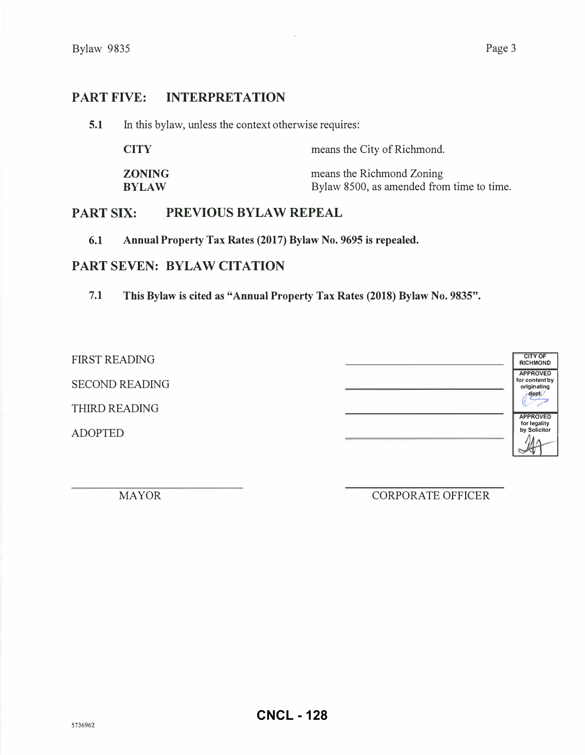#### PART FIVE: INTERPRETATION

5.1 In this bylaw, unless the context otherwise requires:

| <b>CITY</b>   | means the City of Richmond.               |
|---------------|-------------------------------------------|
| <b>ZONING</b> | means the Richmond Zoning                 |
| <b>BYLAW</b>  | Bylaw 8500, as amended from time to time. |

#### PART SIX: PREVIOUS BYLAW REPEAL

6.1 Annual Property Tax Rates (2017) Bylaw No. 9695 is repealed.

#### PART SEVEN: BYLAW CITATION

7.1 This Bylaw is cited as "Annual Property Tax Rates (2018) Bylaw No. 9835".

FIRST READING SECOND READING THIRD READING ADOPTED

CITY OF RICHMOND APPROVED for content by originating<br>
( **APPROVED** for legality by Solicitor

MAYOR CORPORATE OFFICER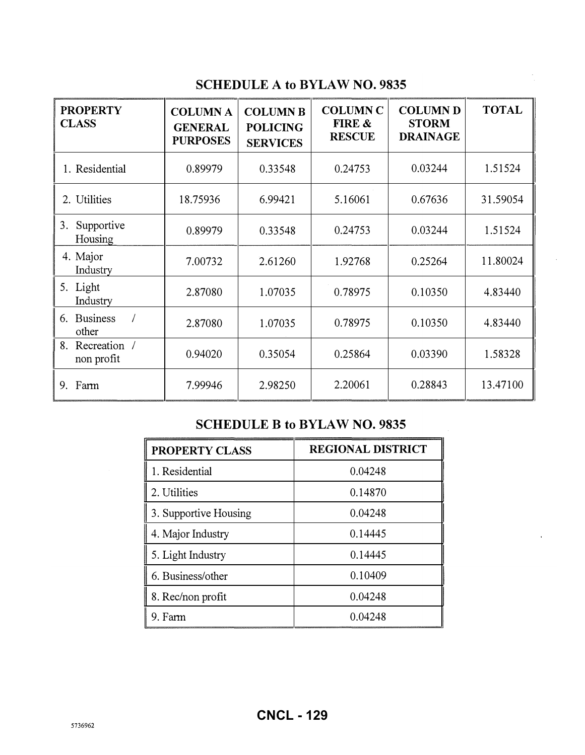## SCHEDULE A to BYLAW NO. 9835

| <b>PROPERTY</b><br><b>CLASS</b>  | <b>COLUMN A</b><br><b>GENERAL</b><br><b>PURPOSES</b> | <b>COLUMN B</b><br><b>POLICING</b><br><b>SERVICES</b> | <b>COLUMN C</b><br>FIRE &<br><b>RESCUE</b> | <b>COLUMN D</b><br><b>STORM</b><br><b>DRAINAGE</b> | <b>TOTAL</b> |
|----------------------------------|------------------------------------------------------|-------------------------------------------------------|--------------------------------------------|----------------------------------------------------|--------------|
| 1. Residential                   | 0.89979                                              | 0.33548                                               | 0.24753                                    | 0.03244                                            | 1.51524      |
| 2. Utilities                     | 18.75936                                             | 6.99421                                               | 5.16061                                    | 0.67636                                            | 31.59054     |
| Supportive<br>3.<br>Housing      | 0.89979                                              | 0.33548                                               | 0.24753                                    | 0.03244                                            | 1.51524      |
| 4. Major<br>Industry             | 7.00732                                              | 2.61260                                               | 1.92768                                    | 0.25264                                            | 11.80024     |
| 5. Light<br>Industry             | 2.87080                                              | 1.07035                                               | 0.78975                                    | 0.10350                                            | 4.83440      |
| <b>Business</b><br>6.<br>other   | 2.87080                                              | 1.07035                                               | 0.78975                                    | 0.10350                                            | 4.83440      |
| Recreation /<br>8.<br>non profit | 0.94020                                              | 0.35054                                               | 0.25864                                    | 0.03390                                            | 1.58328      |
| Farm<br>9.                       | 7.99946                                              | 2.98250                                               | 2.20061                                    | 0.28843                                            | 13.47100     |

## SCHEDULE B to BYLAW NO. 9835

| PROPERTY CLASS        | <b>REGIONAL DISTRICT</b> |
|-----------------------|--------------------------|
| 1. Residential        | 0.04248                  |
| 2. Utilities          | 0.14870                  |
| 3. Supportive Housing | 0.04248                  |
| 4. Major Industry     | 0.14445                  |
| 5. Light Industry     | 0.14445                  |
| 6. Business/other     | 0.10409                  |
| 8. Rec/non profit     | 0.04248                  |
| 9. Farm               | 0.04248                  |